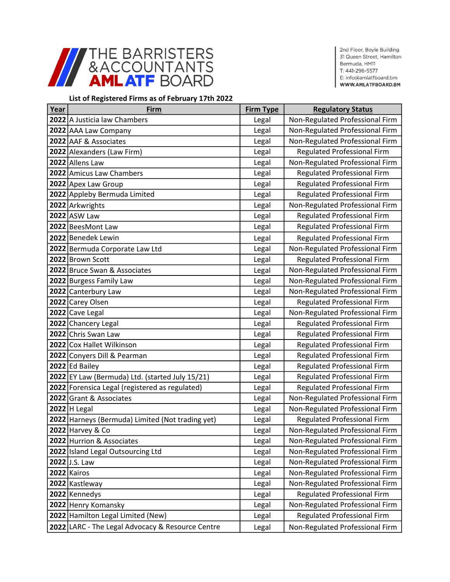

2nd Floor, Boyle Building 31 Queen Street, Hamilton Bermuda, HM11 T: 441-296-5577 E: info@amlatfboard.bm WWW.AMLATFBOARD.BM

## List of Registered Firms as of February 17th 2022

| Year | <b>Firm</b>                                      | <b>Firm Type</b> | <b>Regulatory Status</b>           |
|------|--------------------------------------------------|------------------|------------------------------------|
|      | 2022 A Justicia law Chambers                     | Legal            | Non-Regulated Professional Firm    |
|      | 2022 AAA Law Company                             | Legal            | Non-Regulated Professional Firm    |
|      | 2022 AAF & Associates                            | Legal            | Non-Regulated Professional Firm    |
|      | 2022 Alexanders (Law Firm)                       | Legal            | <b>Regulated Professional Firm</b> |
|      | 2022 Allens Law                                  | Legal            | Non-Regulated Professional Firm    |
|      | 2022 Amicus Law Chambers                         | Legal            | <b>Regulated Professional Firm</b> |
|      | 2022 Apex Law Group                              | Legal            | <b>Regulated Professional Firm</b> |
|      | 2022 Appleby Bermuda Limited                     | Legal            | <b>Regulated Professional Firm</b> |
|      | 2022 Arkwrights                                  | Legal            | Non-Regulated Professional Firm    |
|      | 2022 ASW Law                                     | Legal            | <b>Regulated Professional Firm</b> |
|      | 2022 BeesMont Law                                | Legal            | <b>Regulated Professional Firm</b> |
|      | 2022 Benedek Lewin                               | Legal            | Regulated Professional Firm        |
|      | 2022 Bermuda Corporate Law Ltd                   | Legal            | Non-Regulated Professional Firm    |
|      | 2022 Brown Scott                                 | Legal            | <b>Regulated Professional Firm</b> |
|      | 2022 Bruce Swan & Associates                     | Legal            | Non-Regulated Professional Firm    |
|      | 2022 Burgess Family Law                          | Legal            | Non-Regulated Professional Firm    |
|      | 2022 Canterbury Law                              | Legal            | Non-Regulated Professional Firm    |
|      | 2022 Carey Olsen                                 | Legal            | <b>Regulated Professional Firm</b> |
|      | 2022 Cave Legal                                  | Legal            | Non-Regulated Professional Firm    |
|      | 2022 Chancery Legal                              | Legal            | <b>Regulated Professional Firm</b> |
|      | 2022 Chris Swan Law                              | Legal            | <b>Regulated Professional Firm</b> |
|      | 2022 Cox Hallet Wilkinson                        | Legal            | <b>Regulated Professional Firm</b> |
|      | 2022 Conyers Dill & Pearman                      | Legal            | <b>Regulated Professional Firm</b> |
|      | $2022$ Ed Bailey                                 | Legal            | <b>Regulated Professional Firm</b> |
|      | 2022 EY Law (Bermuda) Ltd. (started July 15/21)  | Legal            | <b>Regulated Professional Firm</b> |
|      | 2022 Forensica Legal (registered as regulated)   | Legal            | <b>Regulated Professional Firm</b> |
|      | 2022 Grant & Associates                          | Legal            | Non-Regulated Professional Firm    |
|      | 2022 H Legal                                     | Legal            | Non-Regulated Professional Firm    |
|      | 2022 Harneys (Bermuda) Limited (Not trading yet) | Legal            | <b>Regulated Professional Firm</b> |
|      | 2022 Harvey & Co                                 | Legal            | Non-Regulated Professional Firm    |
|      | 2022 Hurrion & Associates                        | Legal            | Non-Regulated Professional Firm    |
|      | 2022 Island Legal Outsourcing Ltd                | Legal            | Non-Regulated Professional Firm    |
|      | 2022 J.S. Law                                    | Legal            | Non-Regulated Professional Firm    |
|      | 2022 Kairos                                      | Legal            | Non-Regulated Professional Firm    |
|      | 2022 Kastleway                                   | Legal            | Non-Regulated Professional Firm    |
|      | 2022 Kennedys                                    | Legal            | <b>Regulated Professional Firm</b> |
|      | 2022 Henry Komansky                              | Legal            | Non-Regulated Professional Firm    |
|      | 2022 Hamilton Legal Limited (New)                | Legal            | <b>Regulated Professional Firm</b> |
|      | 2022 LARC - The Legal Advocacy & Resource Centre | Legal            | Non-Regulated Professional Firm    |